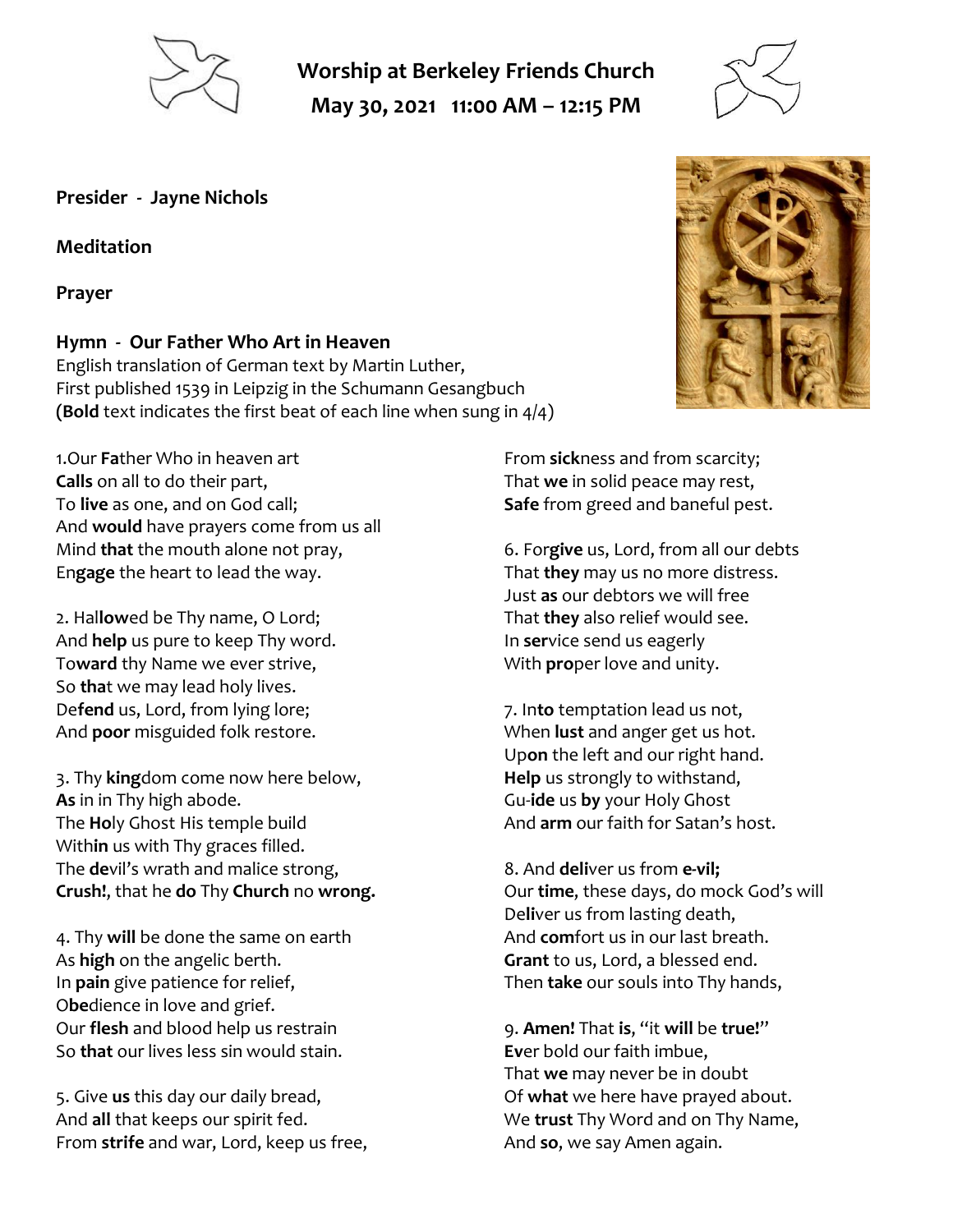

**Worship at Berkeley Friends Church May 30, 2021 11:00 AM – 12:15 PM**



**Presider - Jayne Nichols**

**Meditation**

**Prayer**

#### **Hymn - Our Father Who Art in Heaven**

English translation of German text by Martin Luther, First published 1539 in Leipzig in the Schumann Gesangbuch **(Bold** text indicates the first beat of each line when sung in 4/4)

1.Our **Fa**ther Who in heaven art **Calls** on all to do their part, To **live** as one, and on God call; And **would** have prayers come from us all Mind **that** the mouth alone not pray, En**gage** the heart to lead the way.

2. Hal**low**ed be Thy name, O Lord; And **help** us pure to keep Thy word. To**ward** thy Name we ever strive, So **tha**t we may lead holy lives. De**fend** us, Lord, from lying lore; And **poor** misguided folk restore.

3. Thy **king**dom come now here below, **As** in in Thy high abode. The **Ho**ly Ghost His temple build With**in** us with Thy graces filled. The **de**vil's wrath and malice strong, **Crush!**, that he **do** Thy **Church** no **wrong.**

4. Thy **will** be done the same on earth As **high** on the angelic berth. In **pain** give patience for relief, O**be**dience in love and grief. Our **flesh** and blood help us restrain So **that** our lives less sin would stain.

5. Give **us** this day our daily bread, And **all** that keeps our spirit fed. From **strife** and war, Lord, keep us free, From **sick**ness and from scarcity; That **we** in solid peace may rest, **Safe** from greed and baneful pest.

6. For**give** us, Lord, from all our debts That **they** may us no more distress. Just **as** our debtors we will free That **they** also relief would see. In **ser**vice send us eagerly With **pro**per love and unity.

7. In**to** temptation lead us not, When **lust** and anger get us hot. Up**on** the left and our right hand. **Help** us strongly to withstand, Gu-**ide** us **by** your Holy Ghost And **arm** our faith for Satan's host.

8. And **deli**ver us from **e-vil;** Our **time**, these days, do mock God's will De**li**ver us from lasting death, And **com**fort us in our last breath. **Grant** to us, Lord, a blessed end. Then **take** our souls into Thy hands,

9. **Amen!** That **is**, "it **will** be **true!**" **Ev**er bold our faith imbue, That **we** may never be in doubt Of **what** we here have prayed about. We **trust** Thy Word and on Thy Name, And **so**, we say Amen again.

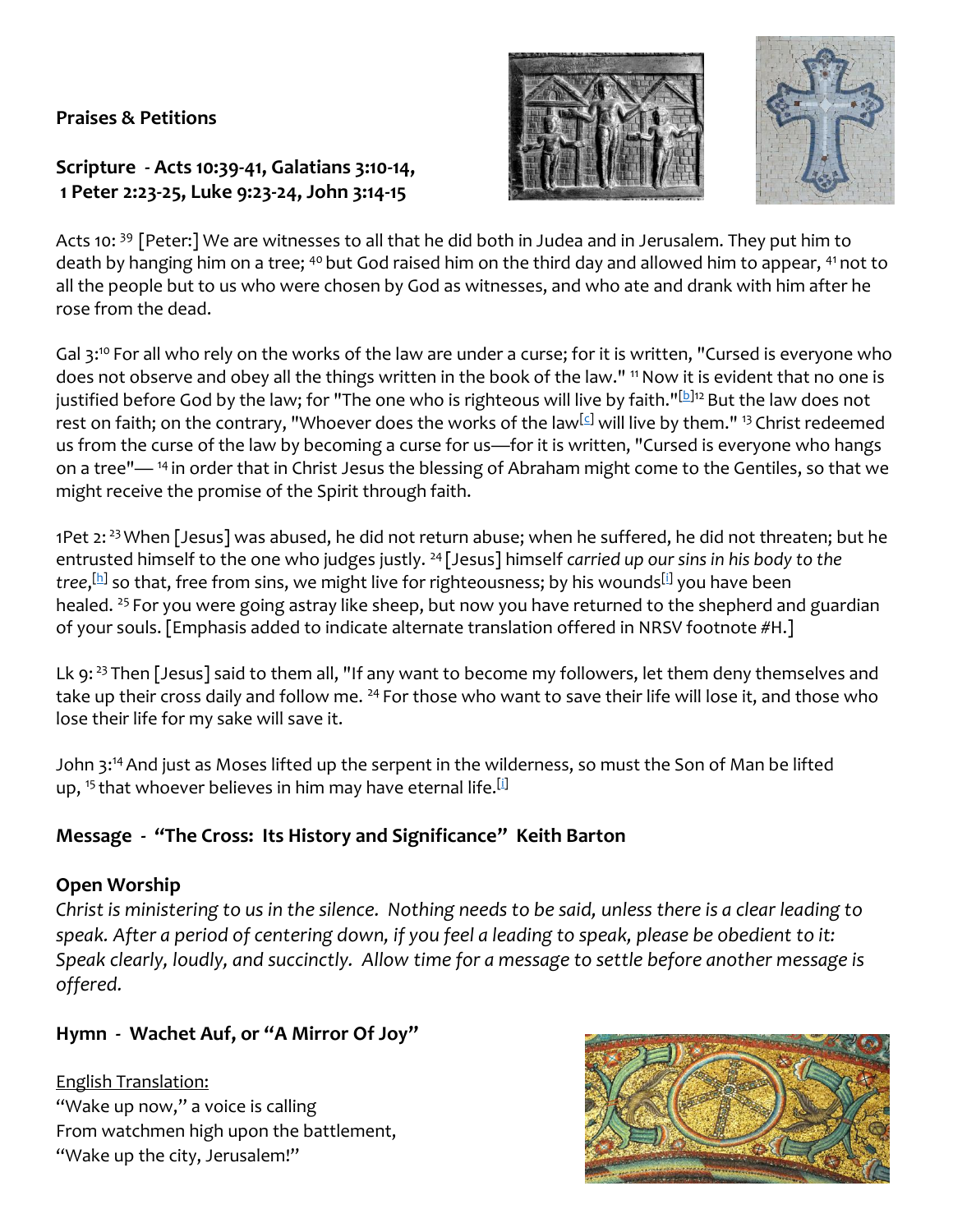# **Praises & Petitions**

# **Scripture - Acts 10:39-41, Galatians 3:10-14, 1 Peter 2:23-25, Luke 9:23-24, John 3:14-15**





Acts 10: <sup>39</sup> [Peter:] We are witnesses to all that he did both in Judea and in Jerusalem. They put him to death by hanging him on a tree; <sup>40</sup> but God raised him on the third day and allowed him to appear, <sup>41</sup> not to all the people but to us who were chosen by God as witnesses, and who ate and drank with him after he rose from the dead.

Gal 3:<sup>10</sup> For all who rely on the works of the law are under a curse; for it is written, "Cursed is everyone who does not observe and obey all the things written in the book of the law." <sup>11</sup> Now it is evident that no one is justified before God by the law; for "The one who is righteous will live by faith."[\[b\]](https://www.biblegateway.com/passage/?search=Gal+3&version=NRSV#fen-NRSV-29097b)<sup>12</sup> But the law does not rest on faith; on the contrary, "Whoever does the works of the law<sup>[\[c\]](https://www.biblegateway.com/passage/?search=Gal+3&version=NRSV#fen-NRSV-29098c)</sup> will live by them." <sup>13</sup> Christ redeemed us from the curse of the law by becoming a curse for us—for it is written, "Cursed is everyone who hangs on a tree"—<sup>14</sup> in order that in Christ Jesus the blessing of Abraham might come to the Gentiles, so that we might receive the promise of the Spirit through faith.

1Pet 2:<sup>23</sup> When [Jesus] was abused, he did not return abuse; when he suffered, he did not threaten; but he entrusted himself to the one who judges justly. <sup>24</sup> [Jesus] himself *carried up our sins in his body to the*  tree,<sup>[\[h\]](https://www.biblegateway.com/passage/?search=1+Pet+2&version=NRSV#fen-NRSV-30406h)</sup> so that, free from sins, we might live for righteousness; by his wounds<sup>[\[i\]](https://www.biblegateway.com/passage/?search=1+Pet+2&version=NRSV#fen-NRSV-30406i)</sup> you have been healed. <sup>25</sup> For you were going astray like sheep, but now you have returned to the shepherd and guardian of your souls. [Emphasis added to indicate alternate translation offered in NRSV footnote #H.]

Lk 9:  $23$  Then [Jesus] said to them all, "If any want to become my followers, let them deny themselves and take up their cross daily and follow me. <sup>24</sup> For those who want to save their life will lose it, and those who lose their life for my sake will save it.

John 3:<sup>14</sup>And just as Moses lifted up the serpent in the wilderness, so must the Son of Man be lifted up, <sup>15</sup> that whoever believes in him may have eternal life.<sup>[\[i\]](https://www.biblegateway.com/passage/?search=jn+3&version=NRSV#fen-NRSV-26126i)</sup>

# **Message - "The Cross: Its History and Significance" Keith Barton**

#### **Open Worship**

*Christ is ministering to us in the silence. Nothing needs to be said, unless there is a clear leading to speak. After a period of centering down, if you feel a leading to speak, please be obedient to it: Speak clearly, loudly, and succinctly. Allow time for a message to settle before another message is offered.*

# **Hymn - Wachet Auf, or "A Mirror Of Joy"**

English Translation: "Wake up now," a voice is calling From watchmen high upon the battlement, "Wake up the city, Jerusalem!"

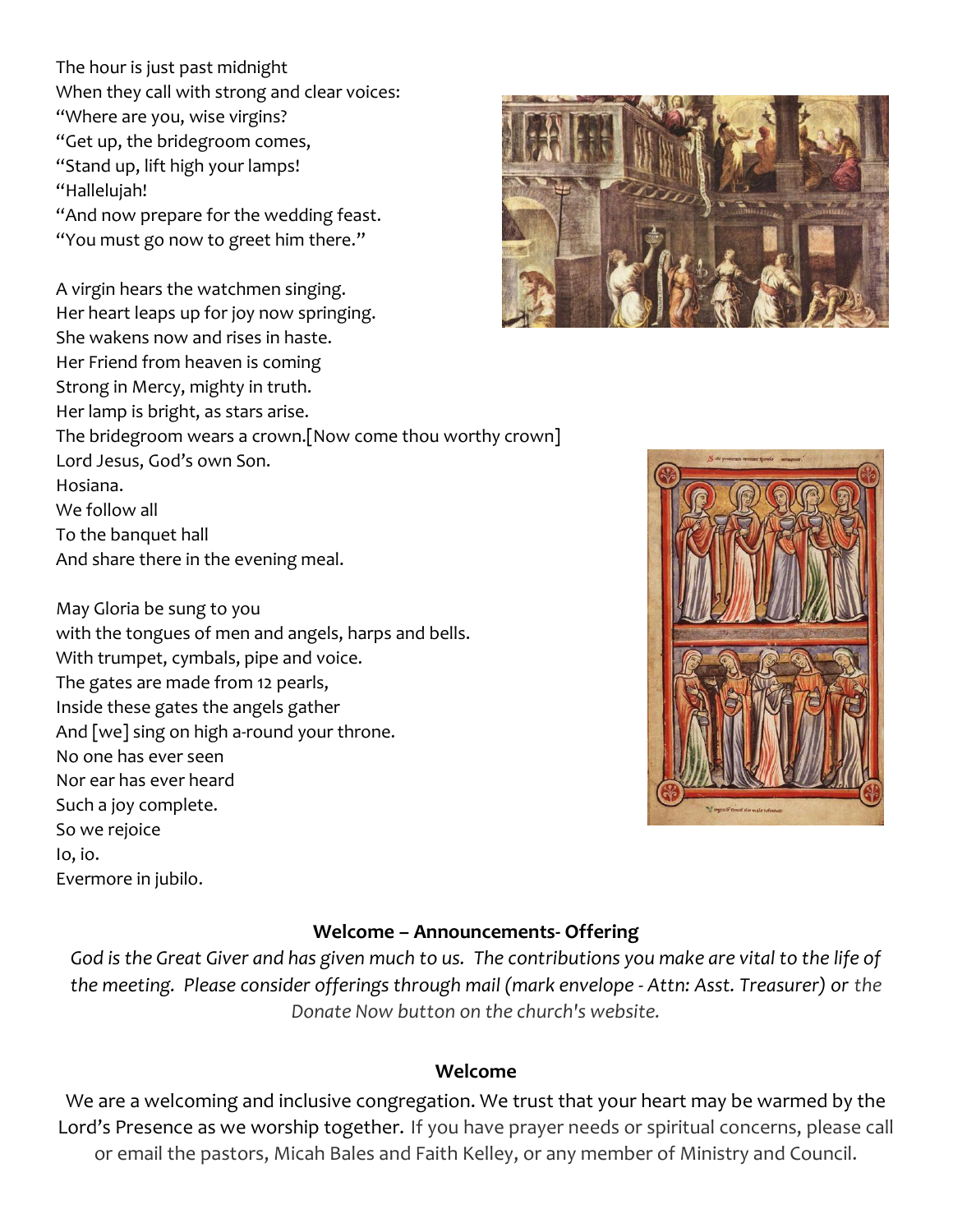The hour is just past midnight When they call with strong and clear voices: "Where are you, wise virgins? "Get up, the bridegroom comes, "Stand up, lift high your lamps! "Hallelujah!

"And now prepare for the wedding feast. "You must go now to greet him there."

A virgin hears the watchmen singing. Her heart leaps up for joy now springing. She wakens now and rises in haste. Her Friend from heaven is coming Strong in Mercy, mighty in truth. Her lamp is bright, as stars arise. The bridegroom wears a crown.[Now come thou worthy crown] Lord Jesus, God's own Son. Hosiana. We follow all To the banquet hall

And share there in the evening meal.

May Gloria be sung to you with the tongues of men and angels, harps and bells. With trumpet, cymbals, pipe and voice. The gates are made from 12 pearls, Inside these gates the angels gather And [we] sing on high a-round your throne. No one has ever seen Nor ear has ever heard Such a joy complete. So we rejoice Io, io. Evermore in jubilo.





#### **Welcome – Announcements- Offering**

*God is the Great Giver and has given much to us. The contributions you make are vital to the life of the meeting. Please consider offerings through mail (mark envelope - Attn: Asst. Treasurer) or the Donate Now button on the church's website.*

#### **Welcome**

We are a welcoming and inclusive congregation. We trust that your heart may be warmed by the Lord's Presence as we worship together. If you have prayer needs or spiritual concerns, please call or email the pastors, Micah Bales and Faith Kelley, or any member of Ministry and Council.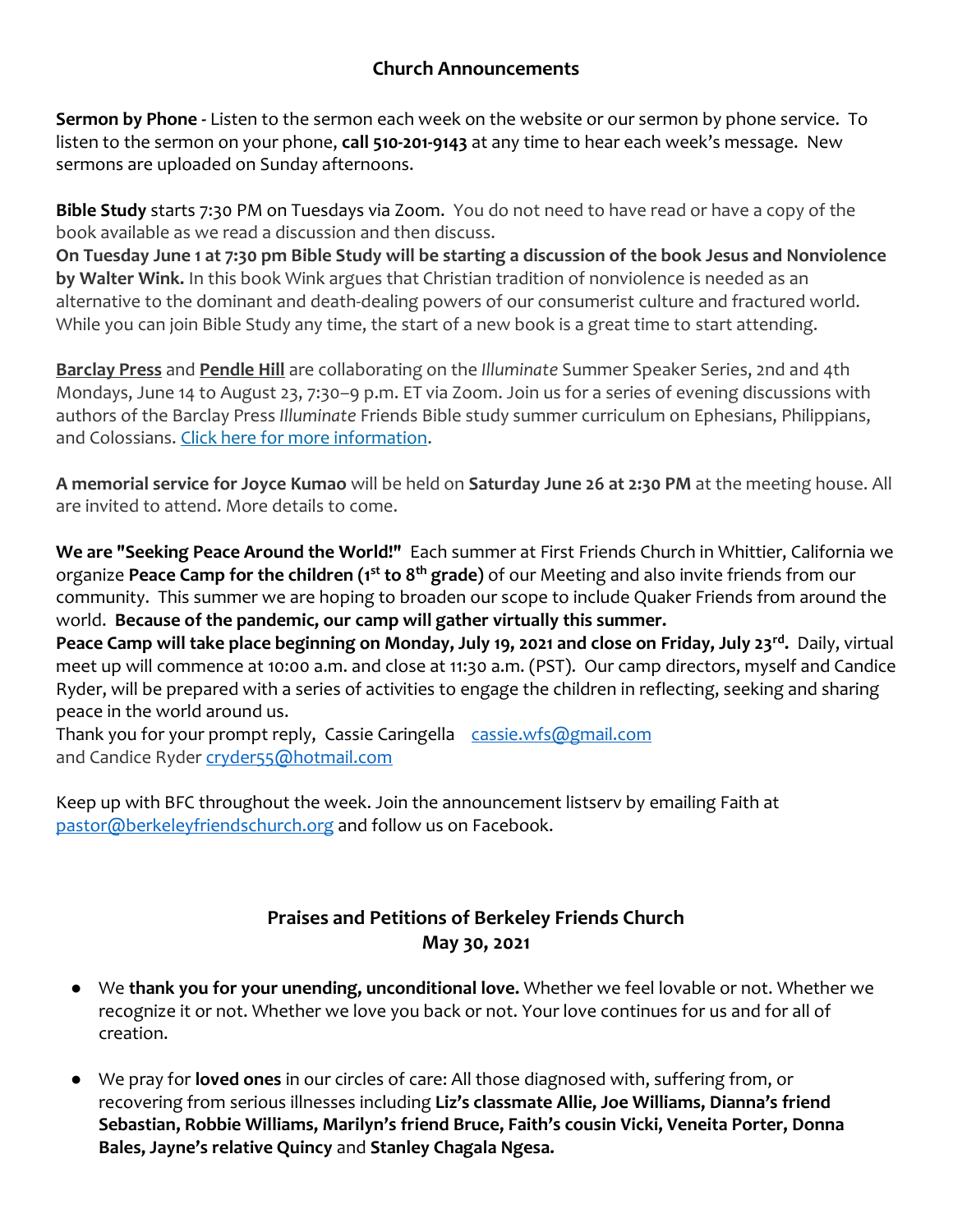#### **Church Announcements**

**Sermon by Phone -** Listen to the sermon each week on the website or our sermon by phone service. To listen to the sermon on your phone, **call 510-201-9143** at any time to hear each week's message. New sermons are uploaded on Sunday afternoons.

**Bible Study** starts 7:30 PM on Tuesdays via Zoom. You do not need to have read or have a copy of the book available as we read a discussion and then discuss.

**On Tuesday June 1 at 7:30 pm Bible Study will be starting a discussion of the book Jesus and Nonviolence by Walter Wink.** In this book Wink argues that Christian tradition of nonviolence is needed as an alternative to the dominant and death-dealing powers of our consumerist culture and fractured world. While you can join Bible Study any time, the start of a new book is a great time to start attending.

**Barclay Press** and **Pendle Hill** are collaborating on the *Illuminate* Summer Speaker Series, 2nd and 4th Mondays, June 14 to August 23, 7:30–9 p.m. ET via Zoom. Join us for a series of evening discussions with authors of the Barclay Press *Illuminate* Friends Bible study summer curriculum on Ephesians, Philippians, and Colossians. [Click here for more information.](https://scymf.us15.list-manage.com/track/click?u=b3919ba778f46050fb765c146&id=8d1e399759&e=445a862d65)

**A memorial service for Joyce Kumao** will be held on **Saturday June 26 at 2:30 PM** at the meeting house. All are invited to attend. More details to come.

**We are "Seeking Peace Around the World!"** Each summer at First Friends Church in Whittier, California we organize **Peace Camp for the children (1st to 8th grade)** of our Meeting and also invite friends from our community. This summer we are hoping to broaden our scope to include Quaker Friends from around the world. **Because of the pandemic, our camp will gather virtually this summer.**

**Peace Camp will take place beginning on Monday, July 19, 2021 and close on Friday, July 23rd .** Daily, virtual meet up will commence at 10:00 a.m. and close at 11:30 a.m. (PST). Our camp directors, myself and Candice Ryder, will be prepared with a series of activities to engage the children in reflecting, seeking and sharing peace in the world around us.

Thank you for your prompt reply, Cassie Caringella [cassie.wfs@gmail.com](mailto:cassie.wfs@gmail.com) and Candice Ryder [cryder55@hotmail.com](mailto:cryder55@hotmail.com)

Keep up with BFC throughout the week. Join the announcement listserv by emailing Faith at [pastor@berkeleyfriendschurch.org](mailto:pastor@berkeleyfriendschurch.org) and follow us on Facebook.

# **Praises and Petitions of Berkeley Friends Church May 30, 2021**

- We **thank you for your unending, unconditional love.** Whether we feel lovable or not. Whether we recognize it or not. Whether we love you back or not. Your love continues for us and for all of creation.
- We pray for **loved ones** in our circles of care: All those diagnosed with, suffering from, or recovering from serious illnesses including **Liz's classmate Allie, Joe Williams, Dianna's friend Sebastian, Robbie Williams, Marilyn's friend Bruce, Faith's cousin Vicki, Veneita Porter, Donna Bales, Jayne's relative Quincy** and **Stanley Chagala Ngesa.**